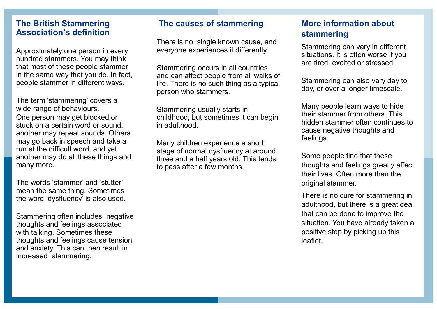### **The British Stammering Association's definition**

Approximately one person in every hundred stammers. You may think that most of these people stammer in the same way that you do. In fact, people stammer in different ways.

The term 'stammering' covers a wide range of behaviours. One person may get blocked or stuck on a certain word or sound, another may repeat sounds. Others may go back in speech and take a run at the difficult word, and yet another may do all these things and many more.

The words 'stammer' and 'stutter' mean the same thing. Sometimes the word 'dysfluency' is also used.

Stammering often includes negative thoughts and feelings associated with talking. Sometimes these thoughts and feelings cause tension and anxiety. This can then result in increased stammering.

### **The causes of stammering**

There is no single known cause, and everyone experiences it differently.

Stammering occurs in all countries and can affect people from all walks of life. There is no such thing as a typical person who stammers.

Stammering usually starts in childhood, but sometimes it can begin in adulthood.

Many children experience a short stage of normal dysfluency at around three and a half years old. This tends to pass after a few months.

## **More information about stammering**

Stammering can vary in different situations. It is often worse if you are tired, excited or stressed.

Stammering can also vary day to day, or over a longer timescale.

Many people learn ways to hide their stammer from others. This hidden stammer often continues to cause negative thoughts and feelings.

Some people find that these thoughts and feelings greatly affect their lives. Often more than the original stammer.

There is no cure for stammering in adulthood, but there is a great deal that can be done to improve the situation. You have already taken a positive step by picking up this leaflet.